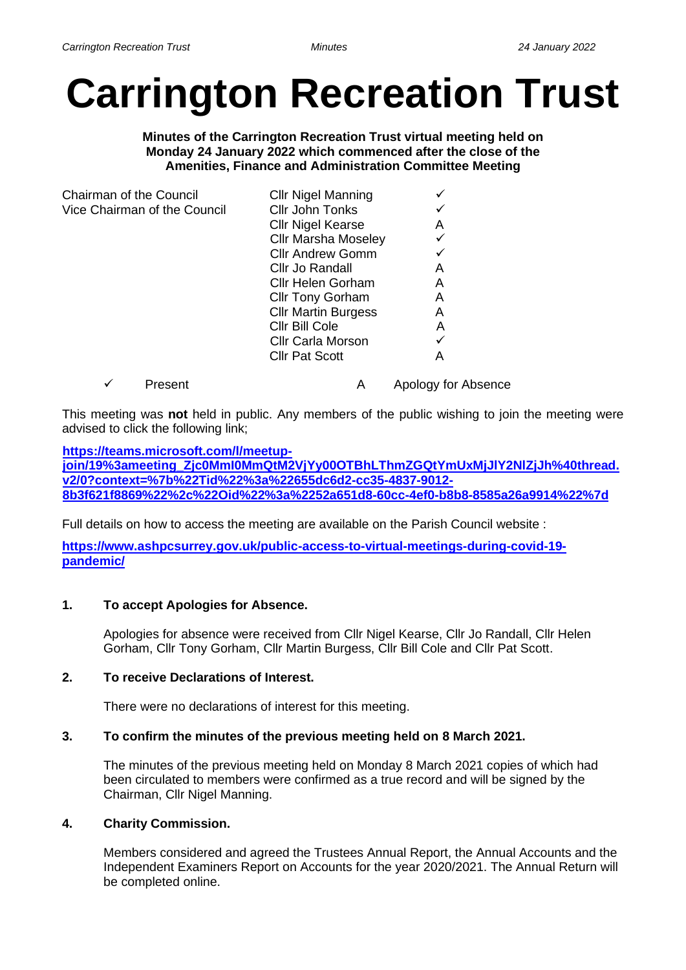# **Carrington Recreation Trust**

**Minutes of the Carrington Recreation Trust virtual meeting held on Monday 24 January 2022 which commenced after the close of the Amenities, Finance and Administration Committee Meeting**

| Chairman of the Council      | <b>Cllr Nigel Manning</b>  |   |
|------------------------------|----------------------------|---|
| Vice Chairman of the Council | Cllr John Tonks            |   |
|                              | <b>Cllr Nigel Kearse</b>   | Α |
|                              | <b>Cllr Marsha Moseley</b> |   |
|                              | <b>Cllr Andrew Gomm</b>    |   |
|                              | Cllr Jo Randall            | Α |
|                              | <b>Cllr Helen Gorham</b>   | Α |
|                              | <b>Cllr Tony Gorham</b>    | A |
|                              | <b>Cllr Martin Burgess</b> | Α |
|                              | Cllr Bill Cole             | Α |
|                              | <b>Cllr Carla Morson</b>   |   |
|                              | <b>Cllr Pat Scott</b>      | А |
|                              |                            |   |

✓ Present A Apology for Absence

This meeting was **not** held in public. Any members of the public wishing to join the meeting were advised to click the following link;

## **[https://teams.microsoft.com/l/meetup-](https://teams.microsoft.com/l/meetup-join/19%3ameeting_Zjc0MmI0MmQtM2VjYy00OTBhLThmZGQtYmUxMjJlY2NlZjJh%40thread.v2/0?context=%7b%22Tid%22%3a%22655dc6d2-cc35-4837-9012-8b3f621f8869%22%2c%22Oid%22%3a%2252a651d8-60cc-4ef0-b8b8-8585a26a9914%22%7d)**

**[join/19%3ameeting\\_Zjc0MmI0MmQtM2VjYy00OTBhLThmZGQtYmUxMjJlY2NlZjJh%40thread.](https://teams.microsoft.com/l/meetup-join/19%3ameeting_Zjc0MmI0MmQtM2VjYy00OTBhLThmZGQtYmUxMjJlY2NlZjJh%40thread.v2/0?context=%7b%22Tid%22%3a%22655dc6d2-cc35-4837-9012-8b3f621f8869%22%2c%22Oid%22%3a%2252a651d8-60cc-4ef0-b8b8-8585a26a9914%22%7d) [v2/0?context=%7b%22Tid%22%3a%22655dc6d2-cc35-4837-9012-](https://teams.microsoft.com/l/meetup-join/19%3ameeting_Zjc0MmI0MmQtM2VjYy00OTBhLThmZGQtYmUxMjJlY2NlZjJh%40thread.v2/0?context=%7b%22Tid%22%3a%22655dc6d2-cc35-4837-9012-8b3f621f8869%22%2c%22Oid%22%3a%2252a651d8-60cc-4ef0-b8b8-8585a26a9914%22%7d) [8b3f621f8869%22%2c%22Oid%22%3a%2252a651d8-60cc-4ef0-b8b8-8585a26a9914%22%7d](https://teams.microsoft.com/l/meetup-join/19%3ameeting_Zjc0MmI0MmQtM2VjYy00OTBhLThmZGQtYmUxMjJlY2NlZjJh%40thread.v2/0?context=%7b%22Tid%22%3a%22655dc6d2-cc35-4837-9012-8b3f621f8869%22%2c%22Oid%22%3a%2252a651d8-60cc-4ef0-b8b8-8585a26a9914%22%7d)**

Full details on how to access the meeting are available on the Parish Council website :

**[https://www.ashpcsurrey.gov.uk/public-access-to-virtual-meetings-during-covid-19](https://www.ashpcsurrey.gov.uk/public-access-to-virtual-meetings-during-covid-19-pandemic/) [pandemic/](https://www.ashpcsurrey.gov.uk/public-access-to-virtual-meetings-during-covid-19-pandemic/)**

# **1. To accept Apologies for Absence.**

Apologies for absence were received from Cllr Nigel Kearse, Cllr Jo Randall, Cllr Helen Gorham, Cllr Tony Gorham, Cllr Martin Burgess, Cllr Bill Cole and Cllr Pat Scott.

# **2. To receive Declarations of Interest.**

There were no declarations of interest for this meeting.

# **3. To confirm the minutes of the previous meeting held on 8 March 2021.**

The minutes of the previous meeting held on Monday 8 March 2021 copies of which had been circulated to members were confirmed as a true record and will be signed by the Chairman, Cllr Nigel Manning.

#### **4. Charity Commission.**

Members considered and agreed the Trustees Annual Report, the Annual Accounts and the Independent Examiners Report on Accounts for the year 2020/2021. The Annual Return will be completed online.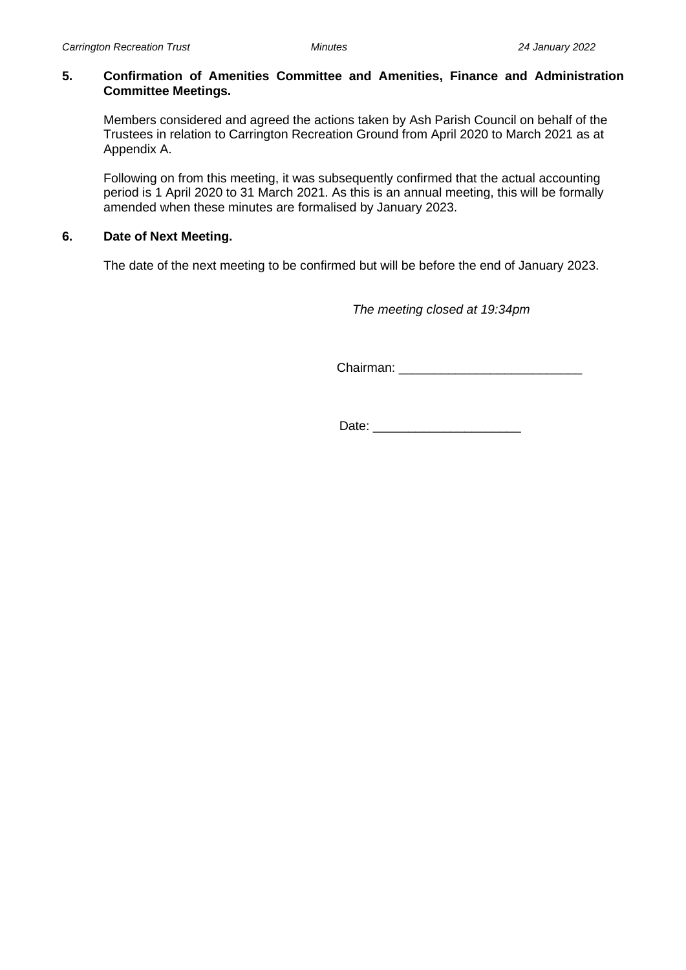#### **5. Confirmation of Amenities Committee and Amenities, Finance and Administration Committee Meetings.**

Members considered and agreed the actions taken by Ash Parish Council on behalf of the Trustees in relation to Carrington Recreation Ground from April 2020 to March 2021 as at Appendix A.

Following on from this meeting, it was subsequently confirmed that the actual accounting period is 1 April 2020 to 31 March 2021. As this is an annual meeting, this will be formally amended when these minutes are formalised by January 2023.

## **6. Date of Next Meeting.**

The date of the next meeting to be confirmed but will be before the end of January 2023.

 *The meeting closed at 19:34pm*

Chairman: \_\_\_\_\_\_\_\_\_\_\_\_\_\_\_\_\_\_\_\_\_\_\_\_\_\_

Date: \_\_\_\_\_\_\_\_\_\_\_\_\_\_\_\_\_\_\_\_\_